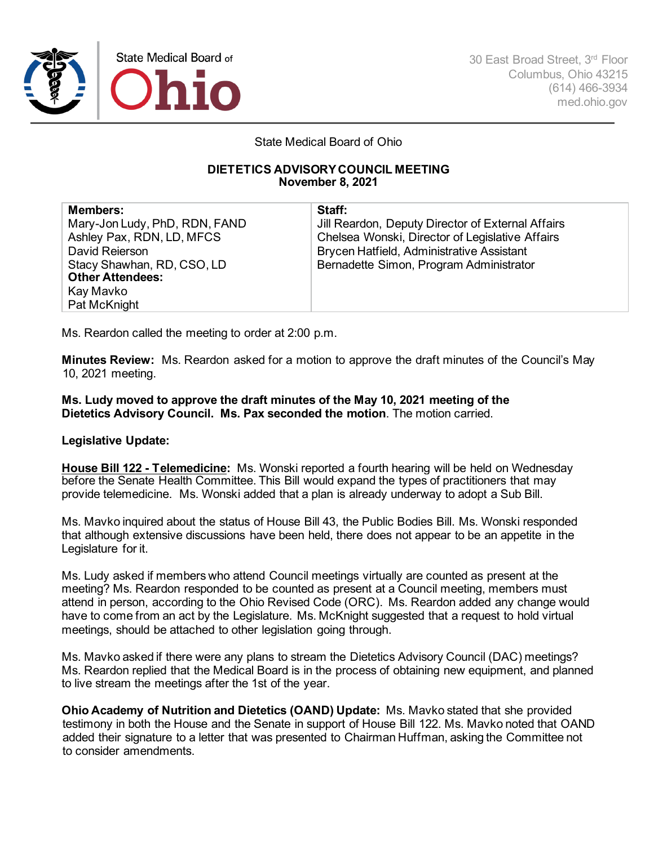

State Medical Board of Ohio

## **DIETETICS ADVISORY COUNCIL MEETING November 8, 2021**

| <b>Members:</b>               | Staff:                                            |
|-------------------------------|---------------------------------------------------|
| Mary-Jon Ludy, PhD, RDN, FAND | Jill Reardon, Deputy Director of External Affairs |
| Ashley Pax, RDN, LD, MFCS     | Chelsea Wonski, Director of Legislative Affairs   |
| David Reierson                | Brycen Hatfield, Administrative Assistant         |
| Stacy Shawhan, RD, CSO, LD    | Bernadette Simon, Program Administrator           |
| <b>Other Attendees:</b>       |                                                   |
| Kay Mavko                     |                                                   |
| Pat McKnight                  |                                                   |

Ms. Reardon called the meeting to order at 2:00 p.m.

**Minutes Review:** Ms. Reardon asked for a motion to approve the draft minutes of the Council's May 10, 2021 meeting.

**Ms. Ludy moved to approve the draft minutes of the May 10, 2021 meeting of the Dietetics Advisory Council. Ms. Pax seconded the motion**. The motion carried.

## **Legislative Update:**

**House Bill 122 - Telemedicine:** Ms. Wonski reported a fourth hearing will be held on Wednesday before the Senate Health Committee. This Bill would expand the types of practitioners that may provide telemedicine. Ms. Wonski added that a plan is already underway to adopt a Sub Bill.

Ms. Mavko inquired about the status of House Bill 43, the Public Bodies Bill. Ms. Wonski responded that although extensive discussions have been held, there does not appear to be an appetite in the Legislature for it.

Ms. Ludy asked if members who attend Council meetings virtually are counted as present at the meeting? Ms. Reardon responded to be counted as present at a Council meeting, members must attend in person, according to the Ohio Revised Code (ORC). Ms. Reardon added any change would have to come from an act by the Legislature. Ms. McKnight suggested that a request to hold virtual meetings, should be attached to other legislation going through.

Ms. Mavko asked if there were any plans to stream the Dietetics Advisory Council (DAC) meetings? Ms. Reardon replied that the Medical Board is in the process of obtaining new equipment, and planned to live stream the meetings after the 1st of the year.

**Ohio Academy of Nutrition and Dietetics (OAND) Update:** Ms. Mavko stated that she provided testimony in both the House and the Senate in support of House Bill 122. Ms. Mavko noted that OAND added their signature to a letter that was presented to Chairman Huffman, asking the Committee not to consider amendments.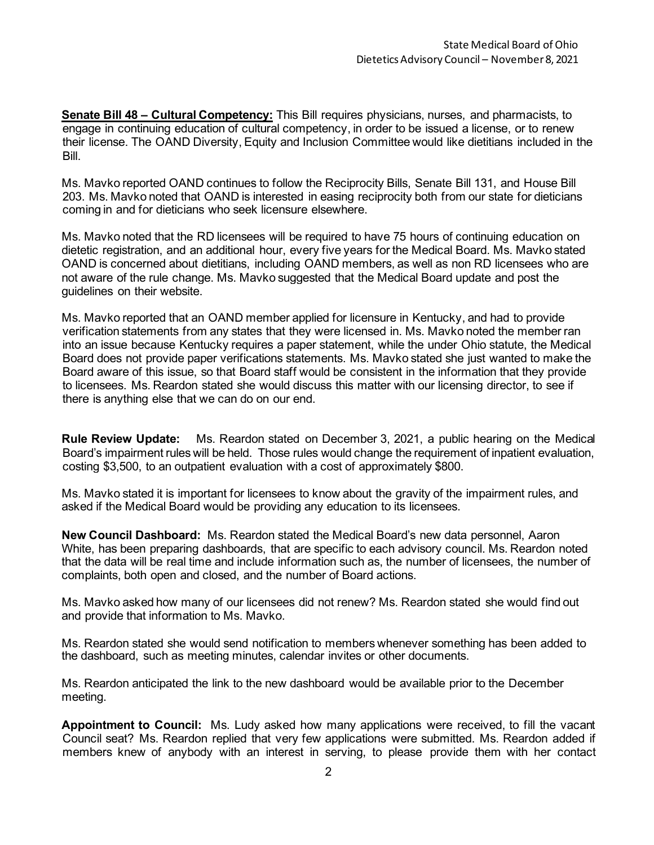**Senate Bill 48 – Cultural Competency:** This Bill requires physicians, nurses, and pharmacists, to engage in continuing education of cultural competency, in order to be issued a license, or to renew their license. The OAND Diversity, Equity and Inclusion Committee would like dietitians included in the Bill.

Ms. Mavko reported OAND continues to follow the Reciprocity Bills, Senate Bill 131, and House Bill 203. Ms. Mavko noted that OAND is interested in easing reciprocity both from our state for dieticians coming in and for dieticians who seek licensure elsewhere.

Ms. Mavko noted that the RD licensees will be required to have 75 hours of continuing education on dietetic registration, and an additional hour, every five years for the Medical Board. Ms. Mavko stated OAND is concerned about dietitians, including OAND members, as well as non RD licensees who are not aware of the rule change. Ms. Mavko suggested that the Medical Board update and post the guidelines on their website.

Ms. Mavko reported that an OAND member applied for licensure in Kentucky, and had to provide verification statements from any states that they were licensed in. Ms. Mavko noted the member ran into an issue because Kentucky requires a paper statement, while the under Ohio statute, the Medical Board does not provide paper verifications statements. Ms. Mavko stated she just wanted to make the Board aware of this issue, so that Board staff would be consistent in the information that they provide to licensees. Ms. Reardon stated she would discuss this matter with our licensing director, to see if there is anything else that we can do on our end.

**Rule Review Update:** Ms. Reardon stated on December 3, 2021, a public hearing on the Medical Board's impairment rules will be held. Those rules would change the requirement of inpatient evaluation, costing \$3,500, to an outpatient evaluation with a cost of approximately \$800.

Ms. Mavko stated it is important for licensees to know about the gravity of the impairment rules, and asked if the Medical Board would be providing any education to its licensees.

**New Council Dashboard:** Ms. Reardon stated the Medical Board's new data personnel, Aaron White, has been preparing dashboards, that are specific to each advisory council. Ms. Reardon noted that the data will be real time and include information such as, the number of licensees, the number of complaints, both open and closed, and the number of Board actions.

Ms. Mavko asked how many of our licensees did not renew? Ms. Reardon stated she would find out and provide that information to Ms. Mavko.

Ms. Reardon stated she would send notification to members whenever something has been added to the dashboard, such as meeting minutes, calendar invites or other documents.

Ms. Reardon anticipated the link to the new dashboard would be available prior to the December meeting.

**Appointment to Council:** Ms. Ludy asked how many applications were received, to fill the vacant Council seat? Ms. Reardon replied that very few applications were submitted. Ms. Reardon added if members knew of anybody with an interest in serving, to please provide them with her contact